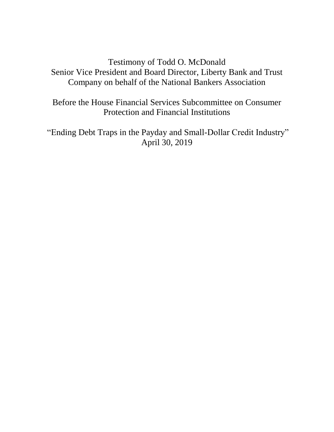## Testimony of Todd O. McDonald Senior Vice President and Board Director, Liberty Bank and Trust Company on behalf of the National Bankers Association

Before the House Financial Services Subcommittee on Consumer Protection and Financial Institutions

"Ending Debt Traps in the Payday and Small-Dollar Credit Industry" April 30, 2019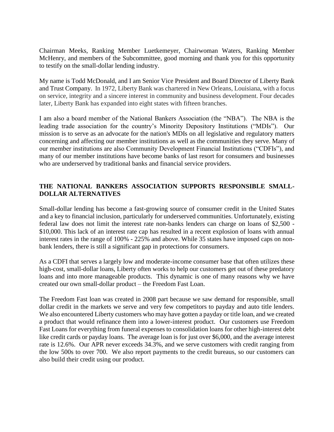Chairman Meeks, Ranking Member Luetkemeyer, Chairwoman Waters, Ranking Member McHenry, and members of the Subcommittee, good morning and thank you for this opportunity to testify on the small-dollar lending industry.

My name is Todd McDonald, and I am Senior Vice President and Board Director of Liberty Bank and Trust Company. In 1972, Liberty Bank was chartered in New Orleans, Louisiana, with a focus on service, integrity and a sincere interest in community and business development. Four decades later, Liberty Bank has expanded into eight states with fifteen branches.

I am also a board member of the National Bankers Association (the "NBA"). The NBA is the leading trade association for the country's Minority Depository Institutions ("MDIs"). Our mission is to serve as an advocate for the nation's MDIs on all legislative and regulatory matters concerning and affecting our member institutions as well as the communities they serve. Many of our member institutions are also Community Development Financial Institutions ("CDFIs"), and many of our member institutions have become banks of last resort for consumers and businesses who are underserved by traditional banks and financial service providers.

## **THE NATIONAL BANKERS ASSOCIATION SUPPORTS RESPONSIBLE SMALL-DOLLAR ALTERNATIVES**

Small-dollar lending has become a fast-growing source of consumer credit in the United States and a key to financial inclusion, particularly for underserved communities. Unfortunately, existing federal law does not limit the interest rate non-banks lenders can charge on loans of \$2,500 - \$10,000. This lack of an interest rate cap has resulted in a recent explosion of loans with annual interest rates in the range of 100% - 225% and above. While 35 states have imposed caps on nonbank lenders, there is still a significant gap in protections for consumers.

As a CDFI that serves a largely low and moderate-income consumer base that often utilizes these high-cost, small-dollar loans, Liberty often works to help our customers get out of these predatory loans and into more manageable products. This dynamic is one of many reasons why we have created our own small-dollar product – the Freedom Fast Loan.

The Freedom Fast loan was created in 2008 part because we saw demand for responsible, small dollar credit in the markets we serve and very few competitors to payday and auto title lenders. We also encountered Liberty customers who may have gotten a payday or title loan, and we created a product that would refinance them into a lower-interest product. Our customers use Freedom Fast Loans for everything from funeral expenses to consolidation loans for other high-interest debt like credit cards or payday loans. The average loan is for just over \$6,000, and the average interest rate is 12.6%. Our APR never exceeds 34.3%, and we serve customers with credit ranging from the low 500s to over 700. We also report payments to the credit bureaus, so our customers can also build their credit using our product.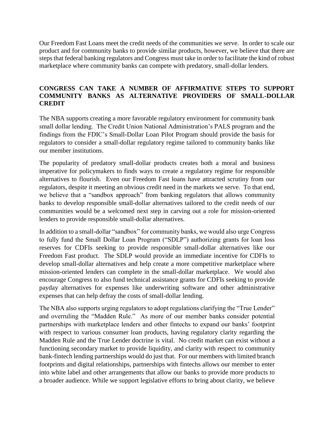Our Freedom Fast Loans meet the credit needs of the communities we serve. In order to scale our product and for community banks to provide similar products, however, we believe that there are steps that federal banking regulators and Congress must take in order to facilitate the kind of robust marketplace where community banks can compete with predatory, small-dollar lenders.

## **CONGRESS CAN TAKE A NUMBER OF AFFIRMATIVE STEPS TO SUPPORT COMMUNITY BANKS AS ALTERNATIVE PROVIDERS OF SMALL-DOLLAR CREDIT**

The NBA supports creating a more favorable regulatory environment for community bank small dollar lending. The Credit Union National Administration's PALS program and the findings from the FDIC's Small-Dollar Loan Pilot Program should provide the basis for regulators to consider a small-dollar regulatory regime tailored to community banks like our member institutions.

The popularity of predatory small-dollar products creates both a moral and business imperative for policymakers to finds ways to create a regulatory regime for responsible alternatives to flourish. Even our Freedom Fast loans have attracted scrutiny from our regulators, despite it meeting an obvious credit need in the markets we serve. To that end, we believe that a "sandbox approach" from banking regulators that allows community banks to develop responsible small-dollar alternatives tailored to the credit needs of our communities would be a welcomed next step in carving out a role for mission-oriented lenders to provide responsible small-dollar alternatives.

In addition to a small-dollar "sandbox" for community banks, we would also urge Congress to fully fund the Small Dollar Loan Program ("SDLP") authorizing grants for loan loss reserves for CDFIs seeking to provide responsible small-dollar alternatives like our Freedom Fast product. The SDLP would provide an immediate incentive for CDFIs to develop small-dollar alternatives and help create a more competitive marketplace where mission-oriented lenders can complete in the small-dollar marketplace. We would also encourage Congress to also fund technical assistance grants for CDFIs seeking to provide payday alternatives for expenses like underwriting software and other administrative expenses that can help defray the costs of small-dollar lending.

The NBA also supports urging regulators to adopt regulations clarifying the "True Lender" and overruling the "Madden Rule." As more of our member banks consider potential partnerships with marketplace lenders and other fintechs to expand our banks' footprint with respect to various consumer loan products, having regulatory clarity regarding the Madden Rule and the True Lender doctrine is vital. No credit market can exist without a functioning secondary market to provide liquidity, and clarity with respect to community bank-fintech lending partnerships would do just that. For our members with limited branch footprints and digital relationships, partnerships with fintechs allows our member to enter into white label and other arrangements that allow our banks to provide more products to a broader audience. While we support legislative efforts to bring about clarity, we believe